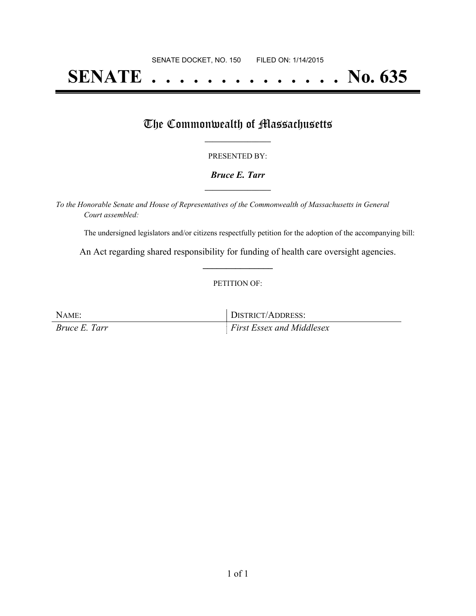# **SENATE . . . . . . . . . . . . . . No. 635**

### The Commonwealth of Massachusetts

#### PRESENTED BY:

#### *Bruce E. Tarr* **\_\_\_\_\_\_\_\_\_\_\_\_\_\_\_\_\_**

*To the Honorable Senate and House of Representatives of the Commonwealth of Massachusetts in General Court assembled:*

The undersigned legislators and/or citizens respectfully petition for the adoption of the accompanying bill:

An Act regarding shared responsibility for funding of health care oversight agencies. **\_\_\_\_\_\_\_\_\_\_\_\_\_\_\_**

#### PETITION OF:

| NAME:         | DISTRICT/ADDRESS:                     |
|---------------|---------------------------------------|
| Bruce E. Tarr | $\parallel$ First Essex and Middlesex |